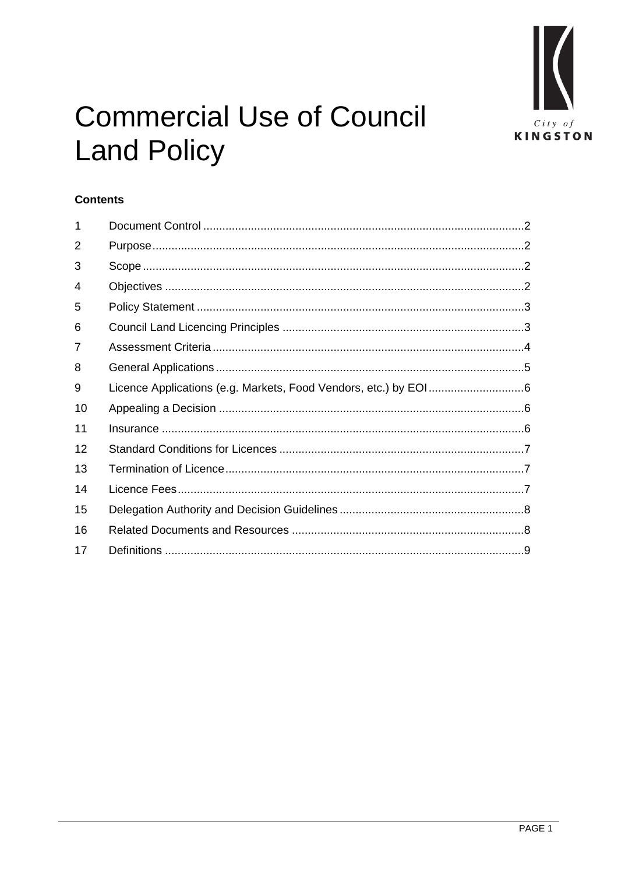

# **Commercial Use of Council Land Policy**

# **Contents**

| 1  |  |
|----|--|
| 2  |  |
| 3  |  |
| 4  |  |
| 5  |  |
| 6  |  |
| 7  |  |
| 8  |  |
| 9  |  |
| 10 |  |
| 11 |  |
| 12 |  |
| 13 |  |
| 14 |  |
| 15 |  |
| 16 |  |
| 17 |  |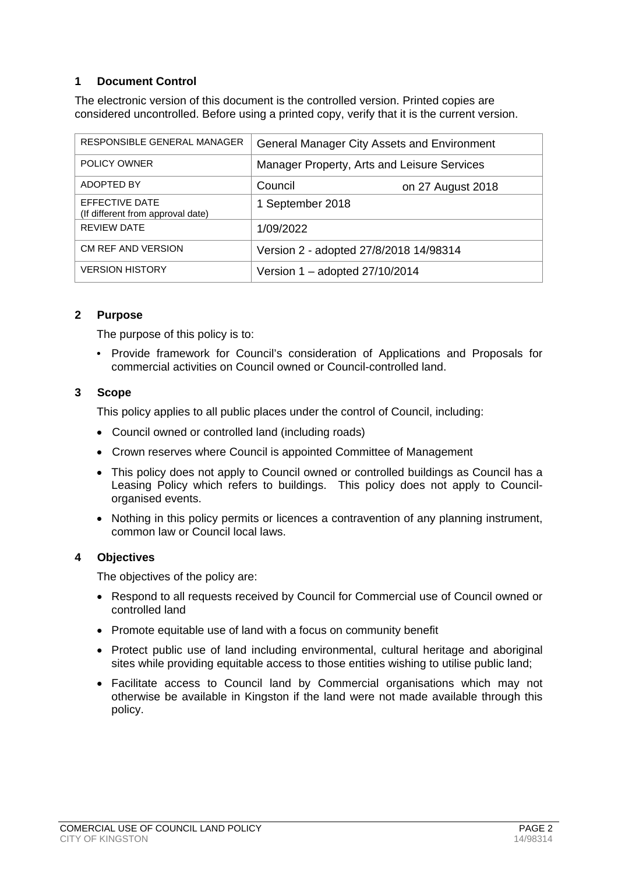# <span id="page-1-0"></span>**1 Document Control**

The electronic version of this document is the controlled version. Printed copies are considered uncontrolled. Before using a printed copy, verify that it is the current version.

| RESPONSIBLE GENERAL MANAGER                         | <b>General Manager City Assets and Environment</b> |  |  |
|-----------------------------------------------------|----------------------------------------------------|--|--|
| POLICY OWNER                                        | Manager Property, Arts and Leisure Services        |  |  |
| ADOPTED BY                                          | Council<br>on 27 August 2018                       |  |  |
| EFFECTIVE DATE<br>(If different from approval date) | 1 September 2018                                   |  |  |
| <b>REVIEW DATE</b>                                  | 1/09/2022                                          |  |  |
| CM REF AND VERSION                                  | Version 2 - adopted 27/8/2018 14/98314             |  |  |
| <b>VERSION HISTORY</b>                              | Version $1 -$ adopted 27/10/2014                   |  |  |

#### <span id="page-1-1"></span>**2 Purpose**

The purpose of this policy is to:

• Provide framework for Council's consideration of Applications and Proposals for commercial activities on Council owned or Council-controlled land.

#### <span id="page-1-2"></span>**3 Scope**

This policy applies to all public places under the control of Council, including:

- Council owned or controlled land (including roads)
- Crown reserves where Council is appointed Committee of Management
- This policy does not apply to Council owned or controlled buildings as Council has a Leasing Policy which refers to buildings. This policy does not apply to Councilorganised events.
- Nothing in this policy permits or licences a contravention of any planning instrument, common law or Council local laws.

#### <span id="page-1-3"></span>**4 Objectives**

The objectives of the policy are:

- Respond to all requests received by Council for Commercial use of Council owned or controlled land
- Promote equitable use of land with a focus on community benefit
- Protect public use of land including environmental, cultural heritage and aboriginal sites while providing equitable access to those entities wishing to utilise public land;
- Facilitate access to Council land by Commercial organisations which may not otherwise be available in Kingston if the land were not made available through this policy.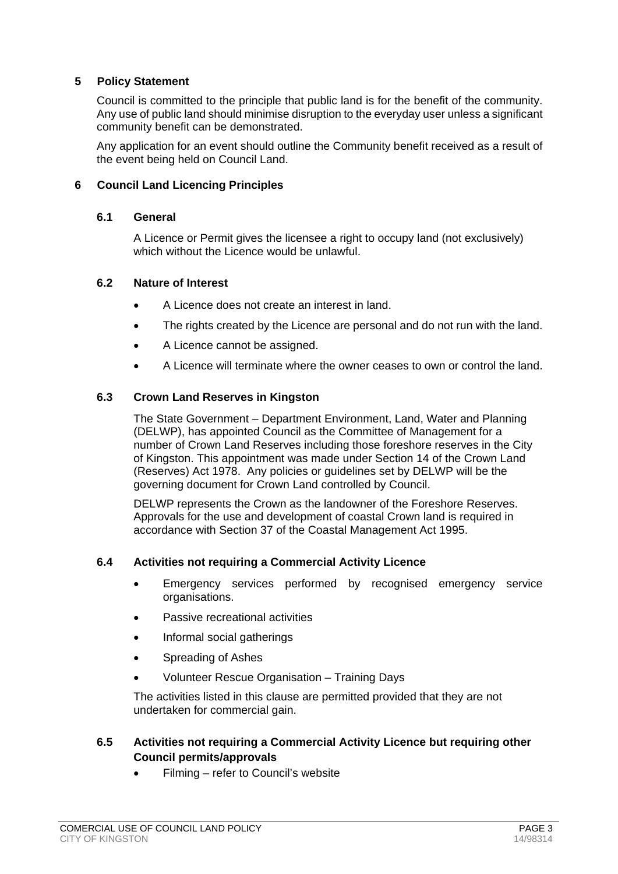## <span id="page-2-0"></span>**5 Policy Statement**

Council is committed to the principle that public land is for the benefit of the community. Any use of public land should minimise disruption to the everyday user unless a significant community benefit can be demonstrated.

Any application for an event should outline the Community benefit received as a result of the event being held on Council Land.

#### <span id="page-2-1"></span>**6 Council Land Licencing Principles**

#### **6.1 General**

A Licence or Permit gives the licensee a right to occupy land (not exclusively) which without the Licence would be unlawful.

#### **6.2 Nature of Interest**

- A Licence does not create an interest in land.
- The rights created by the Licence are personal and do not run with the land.
- A Licence cannot be assigned.
- A Licence will terminate where the owner ceases to own or control the land.

#### **6.3 Crown Land Reserves in Kingston**

The State Government – Department Environment, Land, Water and Planning (DELWP), has appointed Council as the Committee of Management for a number of Crown Land Reserves including those foreshore reserves in the City of Kingston. This appointment was made under Section 14 of the Crown Land (Reserves) Act 1978. Any policies or guidelines set by DELWP will be the governing document for Crown Land controlled by Council.

DELWP represents the Crown as the landowner of the Foreshore Reserves. Approvals for the use and development of coastal Crown land is required in accordance with Section 37 of the Coastal Management Act 1995.

#### **6.4 Activities not requiring a Commercial Activity Licence**

- Emergency services performed by recognised emergency service organisations.
- Passive recreational activities
- Informal social gatherings
- Spreading of Ashes
- Volunteer Rescue Organisation Training Days

The activities listed in this clause are permitted provided that they are not undertaken for commercial gain.

## **6.5 Activities not requiring a Commercial Activity Licence but requiring other Council permits/approvals**

• Filming – refer to Council's website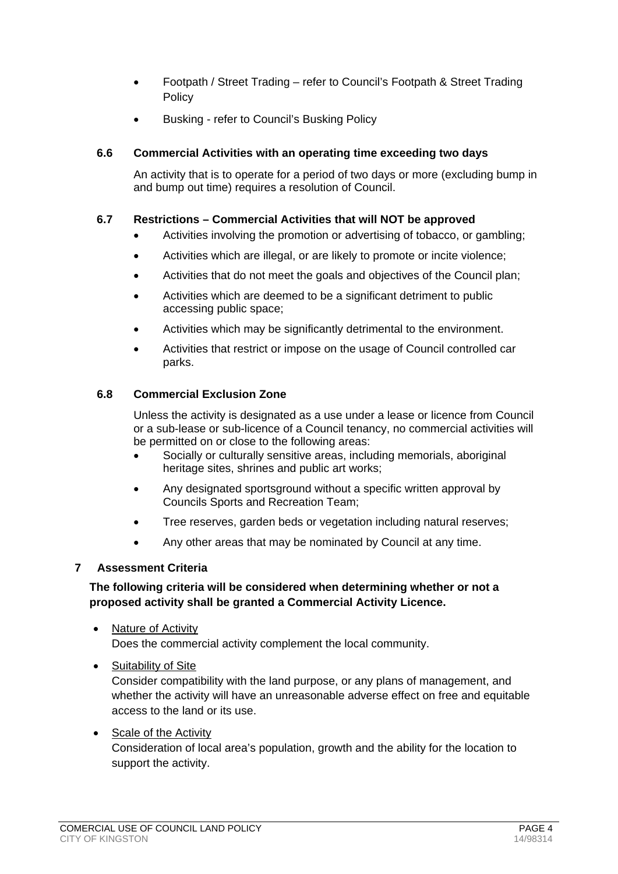- Footpath / Street Trading refer to Council's Footpath & Street Trading Policy
- Busking refer to Council's Busking Policy

## **6.6 Commercial Activities with an operating time exceeding two days**

An activity that is to operate for a period of two days or more (excluding bump in and bump out time) requires a resolution of Council.

#### **6.7 Restrictions – Commercial Activities that will NOT be approved**

- Activities involving the promotion or advertising of tobacco, or gambling;
- Activities which are illegal, or are likely to promote or incite violence;
- Activities that do not meet the goals and objectives of the Council plan;
- Activities which are deemed to be a significant detriment to public accessing public space;
- Activities which may be significantly detrimental to the environment.
- Activities that restrict or impose on the usage of Council controlled car parks.

#### **6.8 Commercial Exclusion Zone**

Unless the activity is designated as a use under a lease or licence from Council or a sub-lease or sub-licence of a Council tenancy, no commercial activities will be permitted on or close to the following areas:

- Socially or culturally sensitive areas, including memorials, aboriginal heritage sites, shrines and public art works;
- Any designated sportsground without a specific written approval by Councils Sports and Recreation Team;
- Tree reserves, garden beds or vegetation including natural reserves;
- Any other areas that may be nominated by Council at any time.

## <span id="page-3-0"></span>**7 Assessment Criteria**

## **The following criteria will be considered when determining whether or not a proposed activity shall be granted a Commercial Activity Licence.**

- Nature of Activity Does the commercial activity complement the local community.
- Suitability of Site

Consider compatibility with the land purpose, or any plans of management, and whether the activity will have an unreasonable adverse effect on free and equitable access to the land or its use.

#### • Scale of the Activity Consideration of local area's population, growth and the ability for the location to support the activity.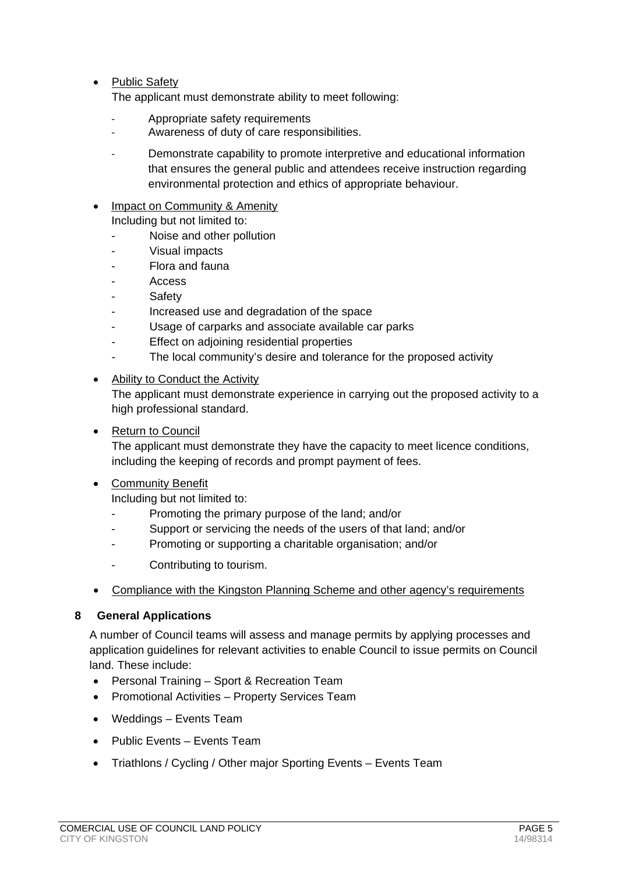• Public Safety

The applicant must demonstrate ability to meet following:

- Appropriate safety requirements
- Awareness of duty of care responsibilities.
- Demonstrate capability to promote interpretive and educational information that ensures the general public and attendees receive instruction regarding environmental protection and ethics of appropriate behaviour.
- **Impact on Community & Amenity** Including but not limited to:
	- Noise and other pollution
	- Visual impacts
	- Flora and fauna
	- Access
	- **Safety**
	- Increased use and degradation of the space
	- Usage of carparks and associate available car parks
	- Effect on adjoining residential properties
	- The local community's desire and tolerance for the proposed activity
- Ability to Conduct the Activity

The applicant must demonstrate experience in carrying out the proposed activity to a high professional standard.

• Return to Council

The applicant must demonstrate they have the capacity to meet licence conditions, including the keeping of records and prompt payment of fees.

• Community Benefit

Including but not limited to:

- Promoting the primary purpose of the land; and/or
- Support or servicing the needs of the users of that land; and/or
- Promoting or supporting a charitable organisation; and/or
- Contributing to tourism.
- Compliance with the Kingston Planning Scheme and other agency's requirements

#### <span id="page-4-0"></span>**8 General Applications**

A number of Council teams will assess and manage permits by applying processes and application guidelines for relevant activities to enable Council to issue permits on Council land. These include:

- Personal Training Sport & Recreation Team
- Promotional Activities Property Services Team
- Weddings Events Team
- Public Events Events Team
- Triathlons / Cycling / Other major Sporting Events Events Team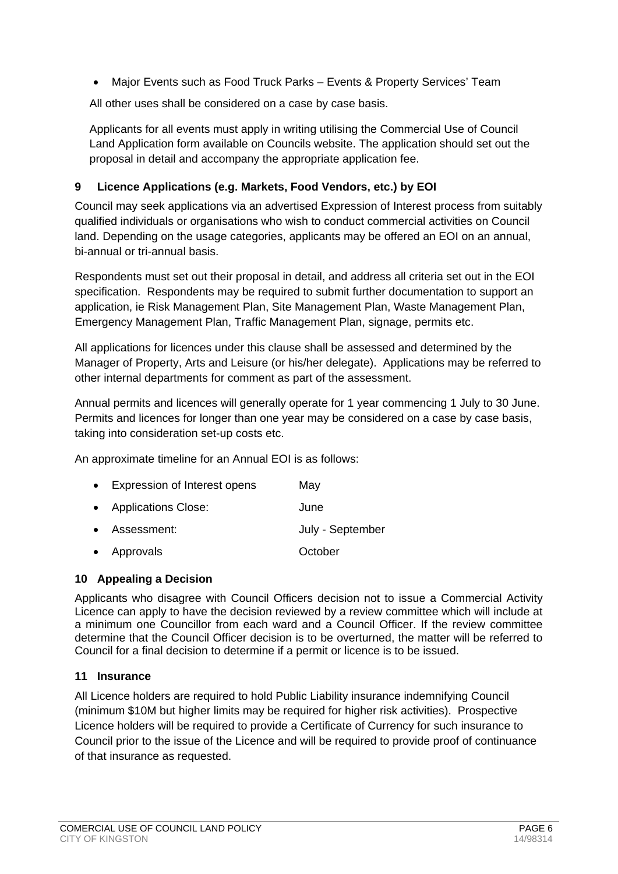• Major Events such as Food Truck Parks – Events & Property Services' Team

All other uses shall be considered on a case by case basis.

Applicants for all events must apply in writing utilising the Commercial Use of Council Land Application form available on Councils website. The application should set out the proposal in detail and accompany the appropriate application fee.

# <span id="page-5-0"></span>**9 Licence Applications (e.g. Markets, Food Vendors, etc.) by EOI**

Council may seek applications via an advertised Expression of Interest process from suitably qualified individuals or organisations who wish to conduct commercial activities on Council land. Depending on the usage categories, applicants may be offered an EOI on an annual, bi-annual or tri-annual basis.

Respondents must set out their proposal in detail, and address all criteria set out in the EOI specification. Respondents may be required to submit further documentation to support an application, ie Risk Management Plan, Site Management Plan, Waste Management Plan, Emergency Management Plan, Traffic Management Plan, signage, permits etc.

All applications for licences under this clause shall be assessed and determined by the Manager of Property, Arts and Leisure (or his/her delegate). Applications may be referred to other internal departments for comment as part of the assessment.

Annual permits and licences will generally operate for 1 year commencing 1 July to 30 June. Permits and licences for longer than one year may be considered on a case by case basis, taking into consideration set-up costs etc.

An approximate timeline for an Annual EOI is as follows:

| • Expression of Interest opens | May              |
|--------------------------------|------------------|
| • Applications Close:          | June             |
| • Assessment:                  | July - September |
| • Approvals                    | October          |

## <span id="page-5-1"></span>**10 Appealing a Decision**

Applicants who disagree with Council Officers decision not to issue a Commercial Activity Licence can apply to have the decision reviewed by a review committee which will include at a minimum one Councillor from each ward and a Council Officer. If the review committee determine that the Council Officer decision is to be overturned, the matter will be referred to Council for a final decision to determine if a permit or licence is to be issued.

## <span id="page-5-2"></span>**11 Insurance**

All Licence holders are required to hold Public Liability insurance indemnifying Council (minimum \$10M but higher limits may be required for higher risk activities). Prospective Licence holders will be required to provide a Certificate of Currency for such insurance to Council prior to the issue of the Licence and will be required to provide proof of continuance of that insurance as requested.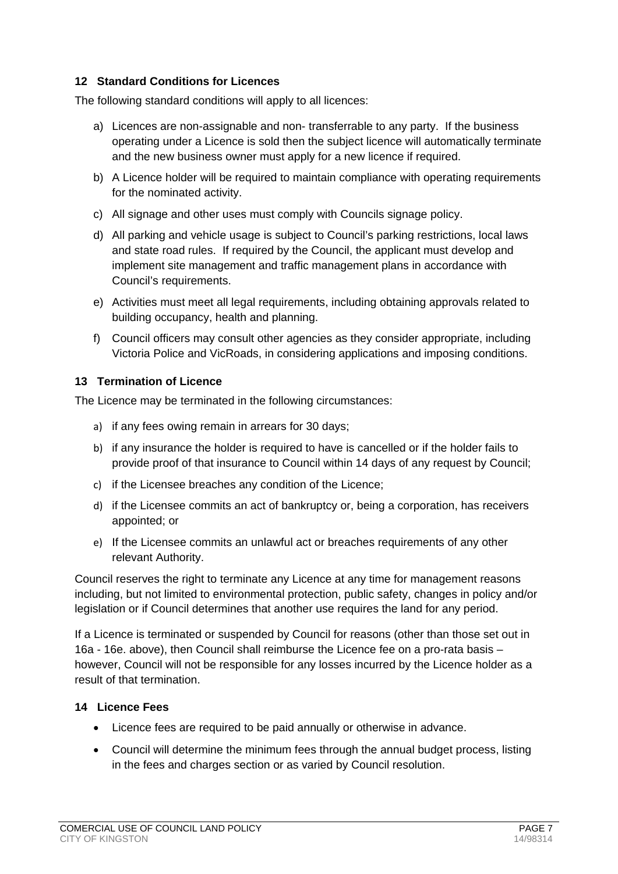## <span id="page-6-0"></span>**12 Standard Conditions for Licences**

The following standard conditions will apply to all licences:

- a) Licences are non-assignable and non- transferrable to any party. If the business operating under a Licence is sold then the subject licence will automatically terminate and the new business owner must apply for a new licence if required.
- b) A Licence holder will be required to maintain compliance with operating requirements for the nominated activity.
- c) All signage and other uses must comply with Councils signage policy.
- d) All parking and vehicle usage is subject to Council's parking restrictions, local laws and state road rules. If required by the Council, the applicant must develop and implement site management and traffic management plans in accordance with Council's requirements.
- e) Activities must meet all legal requirements, including obtaining approvals related to building occupancy, health and planning.
- f) Council officers may consult other agencies as they consider appropriate, including Victoria Police and VicRoads, in considering applications and imposing conditions.

## <span id="page-6-1"></span>**13 Termination of Licence**

The Licence may be terminated in the following circumstances:

- a) if any fees owing remain in arrears for 30 days;
- b) if any insurance the holder is required to have is cancelled or if the holder fails to provide proof of that insurance to Council within 14 days of any request by Council;
- c) if the Licensee breaches any condition of the Licence;
- d) if the Licensee commits an act of bankruptcy or, being a corporation, has receivers appointed; or
- e) If the Licensee commits an unlawful act or breaches requirements of any other relevant Authority.

Council reserves the right to terminate any Licence at any time for management reasons including, but not limited to environmental protection, public safety, changes in policy and/or legislation or if Council determines that another use requires the land for any period.

If a Licence is terminated or suspended by Council for reasons (other than those set out in 16a - 16e. above), then Council shall reimburse the Licence fee on a pro-rata basis – however, Council will not be responsible for any losses incurred by the Licence holder as a result of that termination.

## <span id="page-6-2"></span>**14 Licence Fees**

- Licence fees are required to be paid annually or otherwise in advance.
- Council will determine the minimum fees through the annual budget process, listing in the fees and charges section or as varied by Council resolution.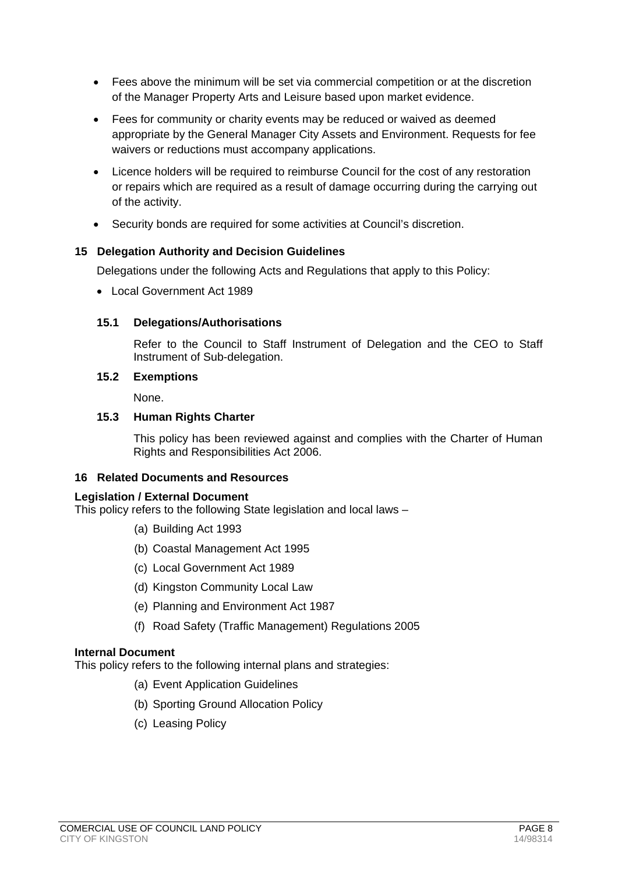- Fees above the minimum will be set via commercial competition or at the discretion of the Manager Property Arts and Leisure based upon market evidence.
- Fees for community or charity events may be reduced or waived as deemed appropriate by the General Manager City Assets and Environment. Requests for fee waivers or reductions must accompany applications.
- Licence holders will be required to reimburse Council for the cost of any restoration or repairs which are required as a result of damage occurring during the carrying out of the activity.
- Security bonds are required for some activities at Council's discretion.

# <span id="page-7-0"></span>**15 Delegation Authority and Decision Guidelines**

Delegations under the following Acts and Regulations that apply to this Policy:

• Local Government Act 1989

## **15.1 Delegations/Authorisations**

Refer to the Council to Staff Instrument of Delegation and the CEO to Staff Instrument of Sub-delegation.

## **15.2 Exemptions**

None.

# **15.3 Human Rights Charter**

This policy has been reviewed against and complies with the Charter of Human Rights and Responsibilities Act 2006.

## <span id="page-7-1"></span>**16 Related Documents and Resources**

## **Legislation / External Document**

This policy refers to the following State legislation and local laws –

- (a) Building Act 1993
- (b) Coastal Management Act 1995
- (c) Local Government Act 1989
- (d) Kingston Community Local Law
- (e) Planning and Environment Act 1987
- (f) Road Safety (Traffic Management) Regulations 2005

## **Internal Document**

This policy refers to the following internal plans and strategies:

- (a) Event Application Guidelines
- (b) Sporting Ground Allocation Policy
- (c) Leasing Policy